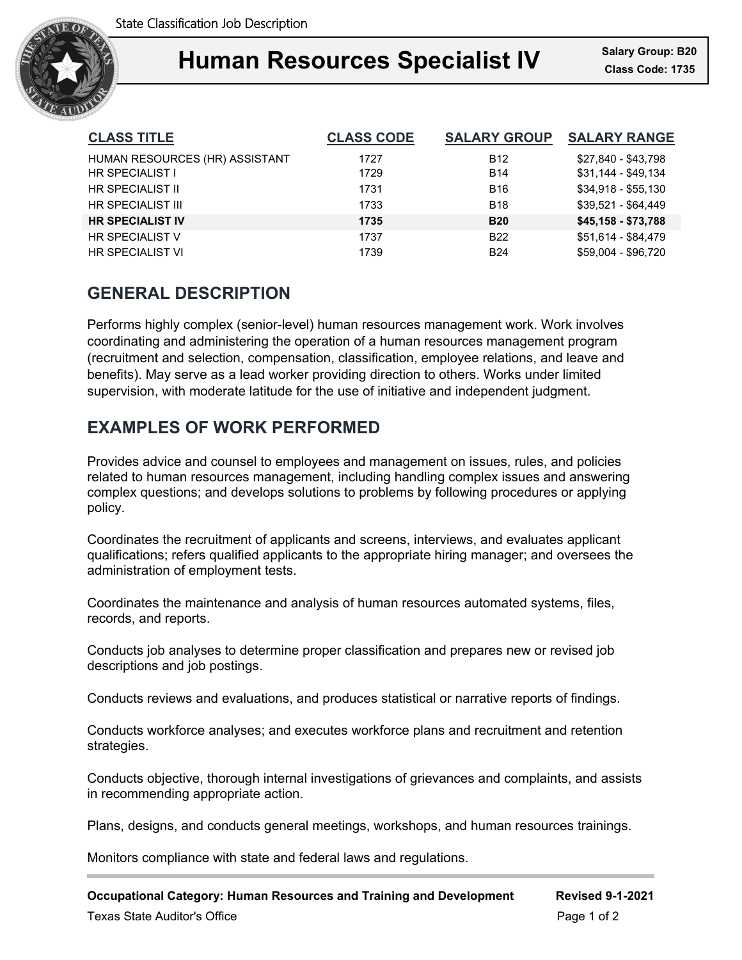

## **Human Resources Specialist IV** Salary Group: B20 Ξ

| <b>CLASS TITLE</b>             | <b>CLASS CODE</b> | <b>SALARY GROUP</b> | <b>SALARY RANGE</b> |
|--------------------------------|-------------------|---------------------|---------------------|
| HUMAN RESOURCES (HR) ASSISTANT | 1727              | <b>B12</b>          | \$27.840 - \$43.798 |
| HR SPECIALIST I                | 1729              | <b>B14</b>          | \$31,144 - \$49,134 |
| HR SPECIALIST II               | 1731              | <b>B16</b>          | $$34.918 - $55.130$ |
| <b>HR SPECIALIST III</b>       | 1733              | <b>B18</b>          | $$39.521 - $64.449$ |
| <b>HR SPECIALIST IV</b>        | 1735              | <b>B20</b>          | \$45,158 - \$73,788 |
| <b>HR SPECIALIST V</b>         | 1737              | <b>B22</b>          | \$51.614 - \$84.479 |
| <b>HR SPECIALIST VI</b>        | 1739              | <b>B24</b>          | \$59,004 - \$96,720 |

# **GENERAL DESCRIPTION**

Performs highly complex (senior-level) human resources management work. Work involves coordinating and administering the operation of a human resources management program (recruitment and selection, compensation, classification, employee relations, and leave and benefits). May serve as a lead worker providing direction to others. Works under limited supervision, with moderate latitude for the use of initiative and independent judgment.

# **EXAMPLES OF WORK PERFORMED**

Provides advice and counsel to employees and management on issues, rules, and policies related to human resources management, including handling complex issues and answering complex questions; and develops solutions to problems by following procedures or applying policy.

Coordinates the recruitment of applicants and screens, interviews, and evaluates applicant qualifications; refers qualified applicants to the appropriate hiring manager; and oversees the administration of employment tests.

Coordinates the maintenance and analysis of human resources automated systems, files, records, and reports.

Conducts job analyses to determine proper classification and prepares new or revised job descriptions and job postings.

Conducts reviews and evaluations, and produces statistical or narrative reports of findings.

Conducts workforce analyses; and executes workforce plans and recruitment and retention strategies.

Conducts objective, thorough internal investigations of grievances and complaints, and assists in recommending appropriate action.

Plans, designs, and conducts general meetings, workshops, and human resources trainings.

Monitors compliance with state and federal laws and regulations.

**Occupational Category: Human Resources and Training and Development Revised 9-1-2021**

Texas State Auditor's Office Page 1 of 2